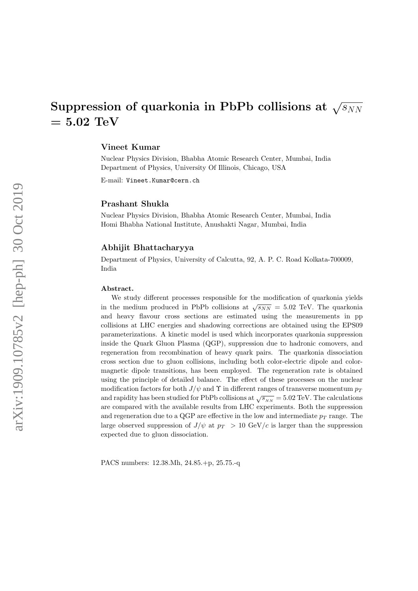# Suppression of quarkonia in PbPb collisions at  $\sqrt{s_{NN}}$  $= 5.02 \text{ TeV}$

#### Vineet Kumar

Nuclear Physics Division, Bhabha Atomic Research Center, Mumbai, India Department of Physics, University Of Illinois, Chicago, USA

E-mail: Vineet.Kumar@cern.ch

## Prashant Shukla

Nuclear Physics Division, Bhabha Atomic Research Center, Mumbai, India Homi Bhabha National Institute, Anushakti Nagar, Mumbai, India

#### Abhijit Bhattacharyya

Department of Physics, University of Calcutta, 92, A. P. C. Road Kolkata-700009, India

#### Abstract.

We study different processes responsible for the modification of quarkonia yields in the medium produced in PbPb collisions at  $\sqrt{s_{NN}} = 5.02$  TeV. The quarkonia and heavy flavour cross sections are estimated using the measurements in pp collisions at LHC energies and shadowing corrections are obtained using the EPS09 parameterizations. A kinetic model is used which incorporates quarkonia suppression inside the Quark Gluon Plasma (QGP), suppression due to hadronic comovers, and regeneration from recombination of heavy quark pairs. The quarkonia dissociation cross section due to gluon collisions, including both color-electric dipole and colormagnetic dipole transitions, has been employed. The regeneration rate is obtained using the principle of detailed balance. The effect of these processes on the nuclear modification factors for both  $J/\psi$  and  $\Upsilon$  in different ranges of transverse momentum  $p_T$ and rapidity has been studied for PbPb collisions at  $\sqrt{s_{NN}} = 5.02$  TeV. The calculations are compared with the available results from LHC experiments. Both the suppression and regeneration due to a QGP are effective in the low and intermediate  $p_T$  range. The large observed suppression of  $J/\psi$  at  $p_T > 10 \text{ GeV}/c$  is larger than the suppression expected due to gluon dissociation.

PACS numbers: 12.38.Mh, 24.85.+p, 25.75.-q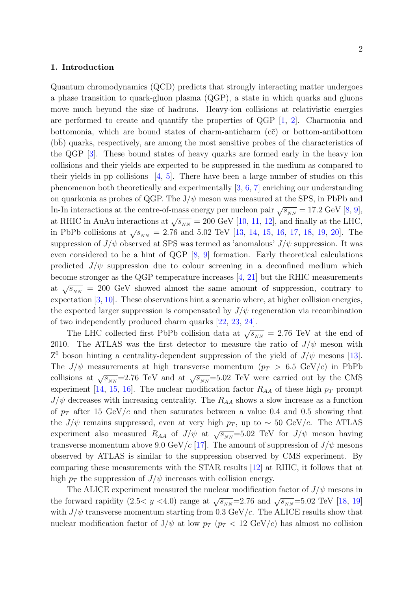## 1. Introduction

Quantum chromodynamics (QCD) predicts that strongly interacting matter undergoes a phase transition to quark-gluon plasma (QGP), a state in which quarks and gluons move much beyond the size of hadrons. Heavy-ion collisions at relativistic energies are performed to create and quantify the properties of  $QGP$  [1, 2]. Charmonia and bottomonia, which are bound states of charm-anticharm  $(c\bar{c})$  or bottom-antibottom (bb) quarks, respectively, are among the most sensitive probes of the characteristics of the QGP [3]. These bound states of heavy quarks are formed early in the heavy ion collisions and their yields are expected to be suppressed in the medium as compared to their yields in pp collisions  $[4, 5]$ . There have been a large number of studies on this phenomenon both theoretically and experimentally [3, 6, 7] enriching our understanding on quarkonia as probes of QGP. The  $J/\psi$  meson was measured at the SPS, in PbPb and In-In interactions at the centre-of-mass energy per nucleon pair  $\sqrt{s_{_{NN}}}$  = 17.2 GeV [8, 9], at RHIC in AuAu interactions at  $\sqrt{s_{NN}}$  = 200 GeV [10, 11, 12], and finally at the LHC, in PbPb collisions at  $\sqrt{s_{_{NN}}}$  = 2.76 and 5.02 TeV [13, 14, 15, 16, 17, 18, 19, 20]. The suppression of  $J/\psi$  observed at SPS was termed as 'anomalous'  $J/\psi$  suppression. It was even considered to be a hint of QGP [8, 9] formation. Early theoretical calculations predicted  $J/\psi$  suppression due to colour screening in a deconfined medium which become stronger as the QGP temperature increases [4, 21] but the RHIC measurements at  $\sqrt{s_{NN}}$  = 200 GeV showed almost the same amount of suppression, contrary to expectation [3, 10]. These observations hint a scenario where, at higher collision energies, the expected larger suppression is compensated by  $J/\psi$  regeneration via recombination of two independently produced charm quarks [22, 23, 24].

The LHC collected first PbPb collision data at  $\sqrt{s_{_{NN}}}$  = 2.76 TeV at the end of 2010. The ATLAS was the first detector to measure the ratio of  $J/\psi$  meson with  $Z^0$  boson hinting a centrality-dependent suppression of the yield of  $J/\psi$  mesons [13]. The  $J/\psi$  measurements at high transverse momentum  $(p_T > 6.5 \text{ GeV}/c)$  in PbPb collisions at  $\sqrt{s_{NN}}$ =2.76 TeV and at  $\sqrt{s_{NN}}$ =5.02 TeV were carried out by the CMS experiment [14, 15, 16]. The nuclear modification factor  $R_{AA}$  of these high  $p_T$  prompt  $J/\psi$  decreases with increasing centrality. The  $R_{AA}$  shows a slow increase as a function of  $p_T$  after 15 GeV/c and then saturates between a value 0.4 and 0.5 showing that the  $J/\psi$  remains suppressed, even at very high  $p_T$ , up to ~ 50 GeV/c. The ATLAS experiment also measured  $R_{AA}$  of  $J/\psi$  at  $\sqrt{s_{NN}}$ =5.02 TeV for  $J/\psi$  meson having transverse momentum above 9.0 GeV/c [17]. The amount of suppression of  $J/\psi$  mesons observed by ATLAS is similar to the suppression observed by CMS experiment. By comparing these measurements with the STAR results [12] at RHIC, it follows that at high  $p_T$  the suppression of  $J/\psi$  increases with collision energy.

The ALICE experiment measured the nuclear modification factor of  $J/\psi$  mesons in the forward rapidity (2.5< y <4.0) range at  $\sqrt{s_{_{NN}}}$ =2.76 and  $\sqrt{s_{_{NN}}}$ =5.02 TeV [18, 19] with  $J/\psi$  transverse momentum starting from 0.3 GeV/c. The ALICE results show that nuclear modification factor of  $J/\psi$  at low  $p_T$  ( $p_T < 12 \text{ GeV}/c$ ) has almost no collision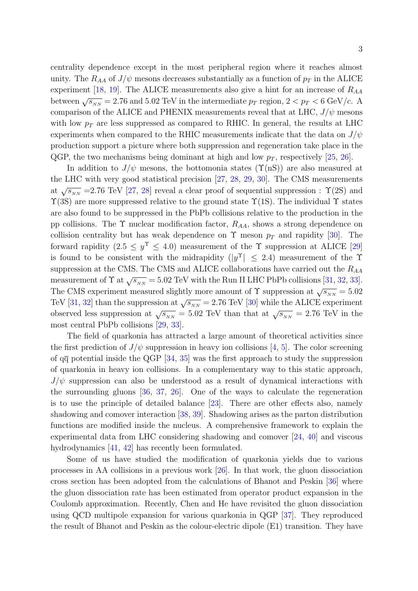centrality dependence except in the most peripheral region where it reaches almost unity. The  $R_{AA}$  of  $J/\psi$  mesons decreases substantially as a function of  $p_T$  in the ALICE experiment [18, 19]. The ALICE measurements also give a hint for an increase of  $R_{AA}$ between  $\sqrt{s_{NN}} = 2.76$  and 5.02 TeV in the intermediate  $p_T$  region,  $2 < p_T < 6$  GeV/c. A comparison of the ALICE and PHENIX measurements reveal that at LHC,  $J/\psi$  mesons with low  $p_T$  are less suppressed as compared to RHIC. In general, the results at LHC experiments when compared to the RHIC measurements indicate that the data on  $J/\psi$ production support a picture where both suppression and regeneration take place in the QGP, the two mechanisms being dominant at high and low  $p_T$ , respectively [25, 26].

In addition to  $J/\psi$  mesons, the bottomonia states  $(\Upsilon(nS))$  are also measured at the LHC with very good statistical precision [27, 28, 29, 30]. The CMS measurements at  $\sqrt{s_{NN}}$  =2.76 TeV [27, 28] reveal a clear proof of sequential suppression :  $\Upsilon(2S)$  and  $\Upsilon(3S)$  are more suppressed relative to the ground state  $\Upsilon(1S)$ . The individual  $\Upsilon$  states are also found to be suppressed in the PbPb collisions relative to the production in the pp collisions. The  $\Upsilon$  nuclear modification factor,  $R_{AA}$ , shows a strong dependence on collision centrality but has weak dependence on  $\Upsilon$  meson  $p_T$  and rapidity [30]. The forward rapidity  $(2.5 \le y^{\Upsilon} \le 4.0)$  measurement of the  $\Upsilon$  suppression at ALICE [29] is found to be consistent with the midrapidity  $(|y^{\Upsilon}| \leq 2.4)$  measurement of the  $\Upsilon$ suppression at the CMS. The CMS and ALICE collaborations have carried out the  $R_{AA}$ measurement of  $\Upsilon$  at  $\sqrt{s_{NN}} = 5.02$  TeV with the Run II LHC PbPb collisions [31, 32, 33]. The CMS experiment measured slightly more amount of  $\Upsilon$  suppression at  $\sqrt{s_{NN}} = 5.02$ TeV [31, 32] than the suppression at  $\sqrt{s_{NN}} = 2.76$  TeV [30] while the ALICE experiment observed less suppression at  $\sqrt{s_{NN}} = 5.02$  TeV than that at  $\sqrt{s_{NN}} = 2.76$  TeV in the most central PbPb collisions [29, 33].

The field of quarkonia has attracted a large amount of theoretical activities since the first prediction of  $J/\psi$  suppression in heavy ion collisions [4, 5]. The color screening of  $q\bar{q}$  potential inside the QGP [34, 35] was the first approach to study the suppression of quarkonia in heavy ion collisions. In a complementary way to this static approach,  $J/\psi$  suppression can also be understood as a result of dynamical interactions with the surrounding gluons [36, 37, 26]. One of the ways to calculate the regeneration is to use the principle of detailed balance [23]. There are other effects also, namely shadowing and comover interaction [38, 39]. Shadowing arises as the parton distribution functions are modified inside the nucleus. A comprehensive framework to explain the experimental data from LHC considering shadowing and comover [24, 40] and viscous hydrodynamics [41, 42] has recently been formulated.

Some of us have studied the modification of quarkonia yields due to various processes in AA collisions in a previous work [26]. In that work, the gluon dissociation cross section has been adopted from the calculations of Bhanot and Peskin [36] where the gluon dissociation rate has been estimated from operator product expansion in the Coulomb approximation. Recently, Chen and He have revisited the gluon dissociation using QCD multipole expansion for various quarkonia in QGP [37]. They reproduced the result of Bhanot and Peskin as the colour-electric dipole (E1) transition. They have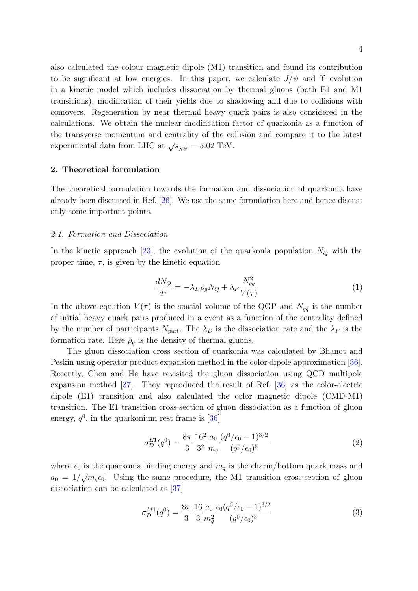also calculated the colour magnetic dipole (M1) transition and found its contribution to be significant at low energies. In this paper, we calculate  $J/\psi$  and  $\Upsilon$  evolution in a kinetic model which includes dissociation by thermal gluons (both E1 and M1 transitions), modification of their yields due to shadowing and due to collisions with comovers. Regeneration by near thermal heavy quark pairs is also considered in the calculations. We obtain the nuclear modification factor of quarkonia as a function of the transverse momentum and centrality of the collision and compare it to the latest experimental data from LHC at  $\sqrt{s_{_{NN}}}$  = 5.02 TeV.

#### 2. Theoretical formulation

The theoretical formulation towards the formation and dissociation of quarkonia have already been discussed in Ref. [26]. We use the same formulation here and hence discuss only some important points.

## 2.1. Formation and Dissociation

In the kinetic approach [23], the evolution of the quarkonia population  $N_Q$  with the proper time,  $\tau$ , is given by the kinetic equation

$$
\frac{dN_Q}{d\tau} = -\lambda_D \rho_g N_Q + \lambda_F \frac{N_{q\bar{q}}^2}{V(\tau)}\tag{1}
$$

In the above equation  $V(\tau)$  is the spatial volume of the QGP and  $N_{q\bar{q}}$  is the number of initial heavy quark pairs produced in a event as a function of the centrality defined by the number of participants  $N_{part}$ . The  $\lambda_D$  is the dissociation rate and the  $\lambda_F$  is the formation rate. Here  $\rho_g$  is the density of thermal gluons.

The gluon dissociation cross section of quarkonia was calculated by Bhanot and Peskin using operator product expansion method in the color dipole approximation [36]. Recently, Chen and He have revisited the gluon dissociation using QCD multipole expansion method [37]. They reproduced the result of Ref. [36] as the color-electric dipole (E1) transition and also calculated the color magnetic dipole (CMD-M1) transition. The E1 transition cross-section of gluon dissociation as a function of gluon energy,  $q^0$ , in the quarkonium rest frame is [36]

$$
\sigma_D^{E1}(q^0) = \frac{8\pi}{3} \frac{16^2}{3^2} \frac{a_0}{m_q} \frac{(q^0/\epsilon_0 - 1)^{3/2}}{(q^0/\epsilon_0)^5}
$$
 (2)

where  $\epsilon_0$  is the quarkonia binding energy and  $m_q$  is the charm/bottom quark mass and  $a_0 = 1/\sqrt{m_q \epsilon_0}$ . Using the same procedure, the M1 transition cross-section of gluon dissociation can be calculated as [37]

$$
\sigma_D^{M1}(q^0) = \frac{8\pi}{3} \frac{16}{3} \frac{a_0}{m_q^2} \frac{\epsilon_0 (q^0/\epsilon_0 - 1)^{3/2}}{(q^0/\epsilon_0)^3} \tag{3}
$$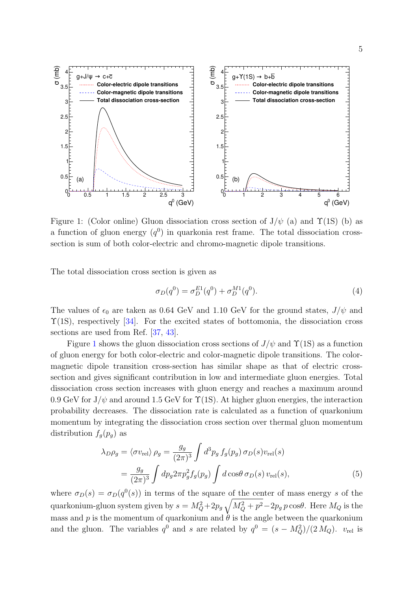

Figure 1: (Color online) Gluon dissociation cross section of  $J/\psi$  (a) and  $\Upsilon(1S)$  (b) as a function of gluon energy  $(q^0)$  in quarkonia rest frame. The total dissociation crosssection is sum of both color-electric and chromo-magnetic dipole transitions.

The total dissociation cross section is given as

$$
\sigma_D(q^0) = \sigma_D^{E1}(q^0) + \sigma_D^{M1}(q^0). \tag{4}
$$

The values of  $\epsilon_0$  are taken as 0.64 GeV and 1.10 GeV for the ground states,  $J/\psi$  and  $\Upsilon(1S)$ , respectively [34]. For the excited states of bottomonia, the dissociation cross sections are used from Ref. [37, 43].

Figure 1 shows the gluon dissociation cross sections of  $J/\psi$  and  $\Upsilon(1S)$  as a function of gluon energy for both color-electric and color-magnetic dipole transitions. The colormagnetic dipole transition cross-section has similar shape as that of electric crosssection and gives significant contribution in low and intermediate gluon energies. Total dissociation cross section increases with gluon energy and reaches a maximum around 0.9 GeV for  $J/\psi$  and around 1.5 GeV for  $\Upsilon(1S)$ . At higher gluon energies, the interaction probability decreases. The dissociation rate is calculated as a function of quarkonium momentum by integrating the dissociation cross section over thermal gluon momentum distribution  $f_q(p_q)$  as

$$
\lambda_D \rho_g = \langle \sigma v_{\text{rel}} \rangle \rho_g = \frac{g_g}{(2\pi)^3} \int d^3 p_g f_g(p_g) \sigma_D(s) v_{\text{rel}}(s)
$$

$$
= \frac{g_g}{(2\pi)^3} \int dp_g 2\pi p_g^2 f_g(p_g) \int d\cos\theta \sigma_D(s) v_{\text{rel}}(s), \tag{5}
$$

where  $\sigma_D(s) = \sigma_D(q^0(s))$  in terms of the square of the center of mass energy s of the quarkonium-gluon system given by  $s = M_Q^2 + 2p_g \sqrt{M_Q^2 + p^2} - 2p_g p \cos\theta$ . Here  $M_Q$  is the mass and p is the momentum of quarkonium and  $\dot{\theta}$  is the angle between the quarkonium and the gluon. The variables  $q^0$  and s are related by  $q^0 = (s - M_Q^2)/(2 M_Q)$ .  $v_{rel}$  is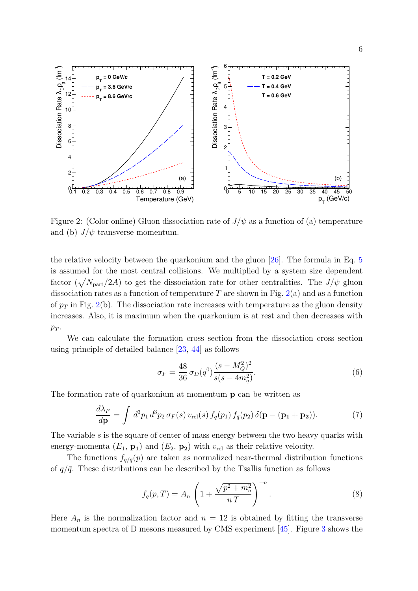

Figure 2: (Color online) Gluon dissociation rate of  $J/\psi$  as a function of (a) temperature and (b)  $J/\psi$  transverse momentum.

the relative velocity between the quarkonium and the gluon [26]. The formula in Eq. 5 is assumed for the most central collisions. We multiplied by a system size dependent factor  $(\sqrt{N_{\text{part}}/2A})$  to get the dissociation rate for other centralities. The  $J/\psi$  gluon dissociation rates as a function of temperature T are shown in Fig.  $2(a)$  and as a function of  $p_T$  in Fig. 2(b). The dissociation rate increases with temperature as the gluon density increases. Also, it is maximum when the quarkonium is at rest and then decreases with  $p_T$ .

We can calculate the formation cross section from the dissociation cross section using principle of detailed balance [23, 44] as follows

$$
\sigma_F = \frac{48}{36} \sigma_D(q^0) \frac{(s - M_Q^2)^2}{s(s - 4m_q^2)}.
$$
\n(6)

The formation rate of quarkonium at momentum p can be written as

$$
\frac{d\lambda_F}{d\mathbf{p}} = \int d^3p_1 d^3p_2 \,\sigma_F(s) \, v_{\text{rel}}(s) \, f_q(p_1) \, f_{\bar{q}}(p_2) \, \delta(\mathbf{p} - (\mathbf{p_1} + \mathbf{p_2})). \tag{7}
$$

The variable s is the square of center of mass energy between the two heavy quarks with energy-momenta  $(E_1, \mathbf{p_1})$  and  $(E_2, \mathbf{p_2})$  with  $v_{rel}$  as their relative velocity.

The functions  $f_{q/\bar{q}}(p)$  are taken as normalized near-thermal distribution functions of  $q/\bar{q}$ . These distributions can be described by the Tsallis function as follows

$$
f_q(p,T) = A_n \left( 1 + \frac{\sqrt{p^2 + m_q^2}}{nT} \right)^{-n}.
$$
 (8)

Here  $A_n$  is the normalization factor and  $n = 12$  is obtained by fitting the transverse momentum spectra of D mesons measured by CMS experiment [45]. Figure 3 shows the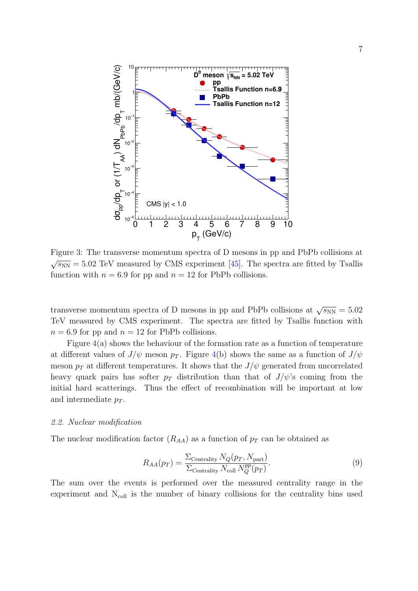

Figure 3: The transverse momentum spectra of D mesons in pp and PbPb collisions at  $\sqrt{s_{NN}} = 5.02$  TeV measured by CMS experiment [45]. The spectra are fitted by Tsallis function with  $n = 6.9$  for pp and  $n = 12$  for PbPb collisions.

transverse momentum spectra of D mesons in pp and PbPb collisions at  $\sqrt{s_{NN}} = 5.02$ TeV measured by CMS experiment. The spectra are fitted by Tsallis function with  $n = 6.9$  for pp and  $n = 12$  for PbPb collisions.

Figure 4(a) shows the behaviour of the formation rate as a function of temperature at different values of  $J/\psi$  meson  $p_T$ . Figure 4(b) shows the same as a function of  $J/\psi$ meson  $p_T$  at different temperatures. It shows that the  $J/\psi$  generated from uncorrelated heavy quark pairs has softer  $p_T$  distribution than that of  $J/\psi$ 's coming from the initial hard scatterings. Thus the effect of recombination will be important at low and intermediate  $p_T$ .

#### 2.2. Nuclear modification

The nuclear modification factor  $(R_{AA})$  as a function of  $p_T$  can be obtained as

$$
R_{AA}(p_T) = \frac{\sum_{\text{Centrality}} N_Q(p_T, N_{\text{part}})}{\sum_{\text{Centrality}} N_{\text{coll}} N_Q^{pp}(p_T)}.
$$
\n(9)

The sum over the events is performed over the measured centrality range in the experiment and  $N_{\text{coll}}$  is the number of binary collisions for the centrality bins used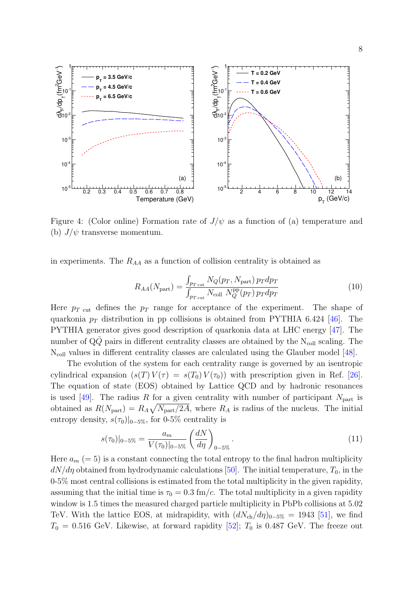

Figure 4: (Color online) Formation rate of  $J/\psi$  as a function of (a) temperature and (b)  $J/\psi$  transverse momentum.

in experiments. The  $R_{AA}$  as a function of collision centrality is obtained as

$$
R_{AA}(N_{\text{part}}) = \frac{\int_{p_T \text{ cut}} N_Q(p_T, N_{\text{part}}) p_T dp_T}{\int_{p_T \text{ cut}} N_{\text{coll}} N_Q^{\text{pp}}(p_T) p_T dp_T}
$$
(10)

Here  $p_T$  <sub>cut</sub> defines the  $p_T$  range for acceptance of the experiment. The shape of quarkonia  $p_T$  distribution in pp collisions is obtained from PYTHIA 6.424 [46]. The PYTHIA generator gives good description of quarkonia data at LHC energy [47]. The number of  $Q\bar{Q}$  pairs in different centrality classes are obtained by the N<sub>coll</sub> scaling. The  $N_{\text{coll}}$  values in different centrality classes are calculated using the Glauber model [48].

The evolution of the system for each centrality range is governed by an isentropic cylindrical expansion  $(s(T) V(\tau) = s(T_0) V(\tau_0)$  with prescription given in Ref. [26]. The equation of state (EOS) obtained by Lattice QCD and by hadronic resonances is used [49]. The radius R for a given centrality with number of participant  $N_{part}$  is obtained as  $R(N_{\text{part}}) = R_A \sqrt{N_{\text{part}}/2A}$ , where  $R_A$  is radius of the nucleus. The initial entropy density,  $s(\tau_0)|_{0-5\%}$ , for 0-5% centrality is

$$
s(\tau_0)|_{0-5\%} = \frac{a_m}{V(\tau_0)|_{0-5\%}} \left(\frac{dN}{d\eta}\right)_{0-5\%}.
$$
\n(11)

Here  $a_m (= 5)$  is a constant connecting the total entropy to the final hadron multiplicity  $dN/d\eta$  obtained from hydrodynamic calculations [50]. The initial temperature,  $T_0$ , in the 0-5% most central collisions is estimated from the total multiplicity in the given rapidity, assuming that the initial time is  $\tau_0 = 0.3$  fm/c. The total multiplicity in a given rapidity window is 1.5 times the measured charged particle multiplicity in PbPb collisions at 5.02 TeV. With the lattice EOS, at midrapidity, with  $(dN_{ch}/d\eta)_{0-5\%} = 1943$  [51], we find  $T_0 = 0.516$  GeV. Likewise, at forward rapidity [52];  $T_0$  is 0.487 GeV. The freeze out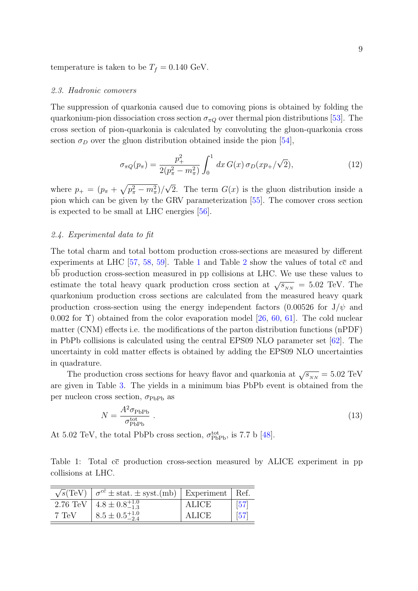temperature is taken to be  $T_f = 0.140 \text{ GeV}.$ 

#### 2.3. Hadronic comovers

The suppression of quarkonia caused due to comoving pions is obtained by folding the quarkonium-pion dissociation cross section  $\sigma_{\pi Q}$  over thermal pion distributions [53]. The cross section of pion-quarkonia is calculated by convoluting the gluon-quarkonia cross section  $\sigma_D$  over the gluon distribution obtained inside the pion [54],

$$
\sigma_{\pi Q}(p_{\pi}) = \frac{p_{+}^{2}}{2(p_{\pi}^{2} - m_{\pi}^{2})} \int_{0}^{1} dx \, G(x) \, \sigma_{D}(xp_{+}/\sqrt{2}), \tag{12}
$$

where  $p_+ = (p_\pi + \sqrt{p_\pi^2 - m_\pi^2})/\sqrt{2}$ . The term  $G(x)$  is the gluon distribution inside a pion which can be given by the GRV parameterization [55]. The comover cross section is expected to be small at LHC energies [56].

### 2.4. Experimental data to fit

The total charm and total bottom production cross-sections are measured by different experiments at LHC [57, 58, 59]. Table 1 and Table 2 show the values of total  $c\bar{c}$  and bb production cross-section measured in pp collisions at LHC. We use these values to estimate the total heavy quark production cross section at  $\sqrt{s_{NN}} = 5.02$  TeV. The quarkonium production cross sections are calculated from the measured heavy quark production cross-section using the energy independent factors (0.00526 for  $J/\psi$  and 0.002 for  $\Upsilon$ ) obtained from the color evaporation model [26, 60, 61]. The cold nuclear matter (CNM) effects i.e. the modifications of the parton distribution functions (nPDF) in PbPb collisions is calculated using the central EPS09 NLO parameter set [62]. The uncertainty in cold matter effects is obtained by adding the EPS09 NLO uncertainties in quadrature.

The production cross sections for heavy flavor and quarkonia at  $\sqrt{s_{NN}} = 5.02$  TeV are given in Table 3. The yields in a minimum bias PbPb event is obtained from the per nucleon cross section,  $\sigma_{\rm PbPb}$  as

$$
N = \frac{A^2 \sigma_{\text{PbPb}}}{\sigma_{\text{PbPb}}^{\text{tot}}} \,. \tag{13}
$$

At 5.02 TeV, the total PbPb cross section,  $\sigma_{\text{PbPb}}^{\text{tot}}$ , is 7.7 b [48].

Table 1: Total  $c\bar{c}$  production cross-section measured by ALICE experiment in pp collisions at LHC.

|       | $\sqrt{s}$ (TeV) $\sigma^{c\bar{c}} \pm$ stat. $\pm$ syst.(mb)   Experiment   Ref. |       |                    |
|-------|------------------------------------------------------------------------------------|-------|--------------------|
|       | 2.76 TeV $4.8 \pm 0.8^{+1.0}_{-1.3}$                                               | ALICE | $\lceil 57 \rceil$ |
| 7 TeV | $8.5 \pm 0.5^{+1.0}_{-2.4}$                                                        | ALICE | $\frac{1}{57}$     |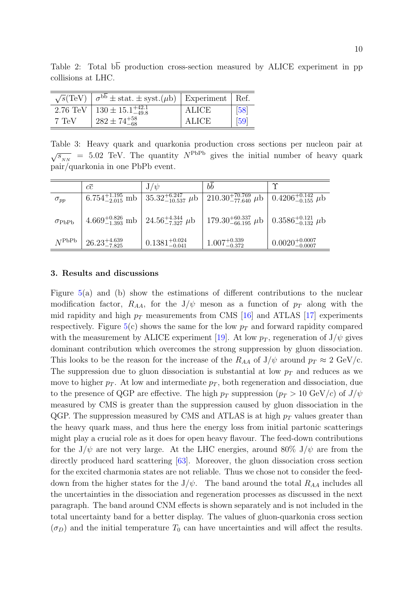Table 2: Total  $b\overline{b}$  production cross-section measured by ALICE experiment in pp collisions at LHC.

| $\sqrt{s}$ (TeV)   | $\sigma^{bb}$ ± stat. ± syst.( $\mu$ b)   Experiment   Ref. |       |                   |
|--------------------|-------------------------------------------------------------|-------|-------------------|
| $2.76 \text{ TeV}$ | $130 \pm 15.1_{-49.8}^{+42.1}$                              | ALICE | [58]              |
| 7 TeV              | $282 \pm 74^{+58}_{-68}$                                    | ALICE | $\left[59\right]$ |

Table 3: Heavy quark and quarkonia production cross sections per nucleon pair at  $\sqrt{s_{_{NN}}}$  = 5.02 TeV. The quantity  $N^{\text{PbPb}}$  gives the initial number of heavy quark pair/quarkonia in one PbPb event.

|                          | сē                                                                        | $J/\psi$                                                         | bb                                                                            | $\gamma$                     |
|--------------------------|---------------------------------------------------------------------------|------------------------------------------------------------------|-------------------------------------------------------------------------------|------------------------------|
| $\sigma_{pp}$            |                                                                           | $6.754^{+1.195}_{-2.015}$ mb $ 35.32^{+6.247}_{-10.537}$ $\mu$ b | 210.30 <sup>+70.769</sup> $\mu$ b   0.4206 <sup>+0.142</sup> $\mu$ b          |                              |
| $\sigma_{\mathrm{PbPb}}$ | $4.669^{+0.826}_{-1.393}$ mb $\left(24.56^{+4.344}_{-7.327} \mu b\right)$ |                                                                  | $179.30^{+60.337}_{-66.195}$ $\mu$ b $\vert$ 0.3586 <sup>+0.121</sup> $\mu$ b |                              |
| $N^{\mathrm{PbPb}}$      | $26.23_{-7.825}^{+4.639}$                                                 | $0.1381^{+0.024}_{-0.041}$                                       | $1.007^{+0.339}_{-0.372}$                                                     | $0.0020^{+0.0007}_{-0.0007}$ |

## 3. Results and discussions

Figure 5(a) and (b) show the estimations of different contributions to the nuclear modification factor,  $R_{AA}$ , for the  $J/\psi$  meson as a function of  $p_T$  along with the mid rapidity and high  $p_T$  measurements from CMS [16] and ATLAS [17] experiments respectively. Figure  $5(c)$  shows the same for the low  $p_T$  and forward rapidity compared with the measurement by ALICE experiment [19]. At low  $p_T$ , regeneration of  $J/\psi$  gives dominant contribution which overcomes the strong suppression by gluon dissociation. This looks to be the reason for the increase of the  $R_{AA}$  of  $J/\psi$  around  $p_T \approx 2 \text{ GeV/c}$ . The suppression due to gluon dissociation is substantial at low  $p_T$  and reduces as we move to higher  $p_T$ . At low and intermediate  $p_T$ , both regeneration and dissociation, due to the presence of QGP are effective. The high  $p_T$  suppression  $(p_T > 10 \text{ GeV}/c)$  of  $J/\psi$ measured by CMS is greater than the suppression caused by gluon dissociation in the QGP. The suppression measured by CMS and ATLAS is at high  $p<sub>T</sub>$  values greater than the heavy quark mass, and thus here the energy loss from initial partonic scatterings might play a crucial role as it does for open heavy flavour. The feed-down contributions for the  $J/\psi$  are not very large. At the LHC energies, around 80%  $J/\psi$  are from the directly produced hard scattering [63]. Moreover, the gluon dissociation cross section for the excited charmonia states are not reliable. Thus we chose not to consider the feeddown from the higher states for the  $J/\psi$ . The band around the total  $R_{AA}$  includes all the uncertainties in the dissociation and regeneration processes as discussed in the next paragraph. The band around CNM effects is shown separately and is not included in the total uncertainty band for a better display. The values of gluon-quarkonia cross section  $(\sigma_D)$  and the initial temperature  $T_0$  can have uncertainties and will affect the results.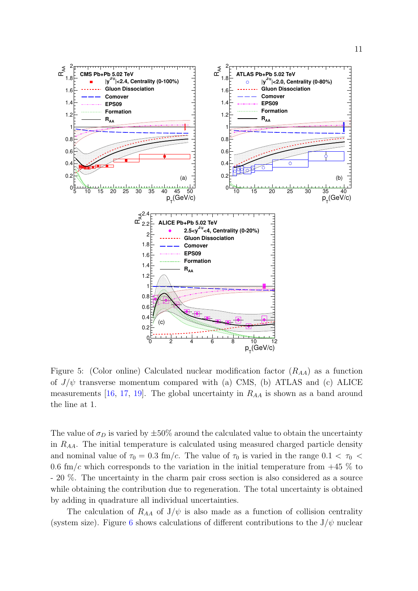

Figure 5: (Color online) Calculated nuclear modification factor  $(R_{AA})$  as a function of  $J/\psi$  transverse momentum compared with (a) CMS, (b) ATLAS and (c) ALICE measurements [16, 17, 19]. The global uncertainty in  $R_{AA}$  is shown as a band around the line at 1.

The value of  $\sigma_D$  is varied by  $\pm 50\%$  around the calculated value to obtain the uncertainty in  $R_{AA}$ . The initial temperature is calculated using measured charged particle density and nominal value of  $\tau_0 = 0.3$  fm/c. The value of  $\tau_0$  is varied in the range  $0.1 < \tau_0 <$ 0.6 fm/c which corresponds to the variation in the initial temperature from  $+45\%$  to - 20 %. The uncertainty in the charm pair cross section is also considered as a source while obtaining the contribution due to regeneration. The total uncertainty is obtained by adding in quadrature all individual uncertainties.

The calculation of  $R_{AA}$  of  $J/\psi$  is also made as a function of collision centrality (system size). Figure 6 shows calculations of different contributions to the  $J/\psi$  nuclear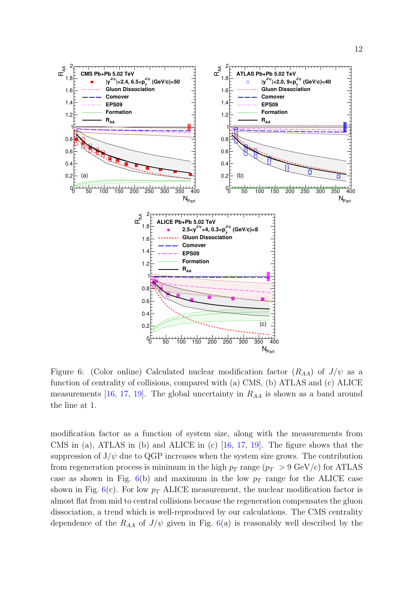

Figure 6: (Color online) Calculated nuclear modification factor  $(R_{AA})$  of  $J/\psi$  as a function of centrality of collisions, compared with (a) CMS, (b) ATLAS and (c) ALICE measurements [16, 17, 19]. The global uncertainty in  $R_{AA}$  is shown as a band around the line at 1.

modification factor as a function of system size, along with the measurements from CMS in (a), ATLAS in (b) and ALICE in (c) [16, 17, 19]. The figure shows that the suppression of  $J/\psi$  due to QGP increases when the system size grows. The contribution from regeneration process is minimum in the high  $p_T$  range  $(p_T > 9 \text{ GeV/c})$  for ATLAS case as shown in Fig.  $6(b)$  and maximum in the low  $p_T$  range for the ALICE case shown in Fig.  $6(c)$ . For low  $p_T$  ALICE measurement, the nuclear modification factor is almost flat from mid to central collisions because the regeneration compensates the gluon dissociation, a trend which is well-reproduced by our calculations. The CMS centrality dependence of the  $R_{AA}$  of  $J/\psi$  given in Fig. 6(a) is reasonably well described by the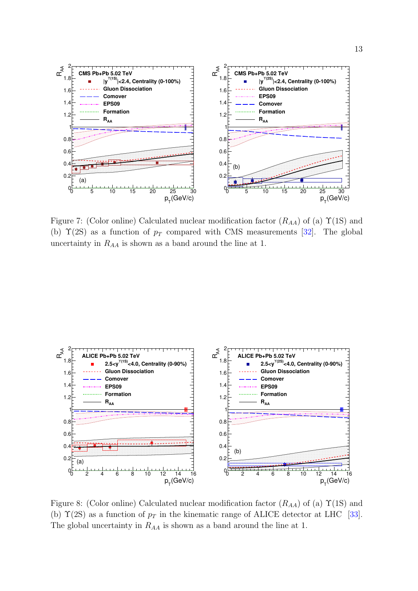

Figure 7: (Color online) Calculated nuclear modification factor  $(R_{AA})$  of (a)  $\Upsilon(1S)$  and (b)  $\Upsilon(2S)$  as a function of  $p_T$  compared with CMS measurements [32]. The global uncertainty in  $R_{AA}$  is shown as a band around the line at 1.



Figure 8: (Color online) Calculated nuclear modification factor  $(R_{AA})$  of (a)  $\Upsilon(1S)$  and (b)  $\Upsilon(2S)$  as a function of  $p_T$  in the kinematic range of ALICE detector at LHC [33]. The global uncertainty in  $R_{AA}$  is shown as a band around the line at 1.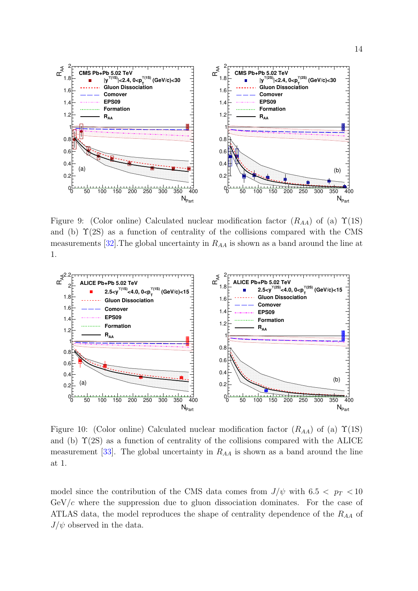

Figure 9: (Color online) Calculated nuclear modification factor  $(R_{AA})$  of (a)  $\Upsilon(1S)$ and (b)  $\Upsilon(2S)$  as a function of centrality of the collisions compared with the CMS measurements [32]. The global uncertainty in  $R_{AA}$  is shown as a band around the line at 1.



Figure 10: (Color online) Calculated nuclear modification factor  $(R_{AA})$  of (a)  $\Upsilon(1S)$ and (b)  $\Upsilon(2S)$  as a function of centrality of the collisions compared with the ALICE measurement  $[33]$ . The global uncertainty in  $R_{AA}$  is shown as a band around the line at 1.

model since the contribution of the CMS data comes from  $J/\psi$  with 6.5  $\lt p_T \lt 10$  $GeV/c$  where the suppression due to gluon dissociation dominates. For the case of ATLAS data, the model reproduces the shape of centrality dependence of the  $R_{AA}$  of  $J/\psi$  observed in the data.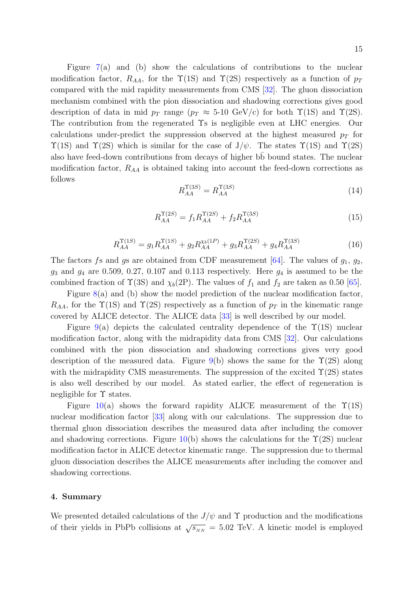Figure 7(a) and (b) show the calculations of contributions to the nuclear modification factor,  $R_{AA}$ , for the  $\Upsilon(1S)$  and  $\Upsilon(2S)$  respectively as a function of  $p_T$ compared with the mid rapidity measurements from CMS [32]. The gluon dissociation mechanism combined with the pion dissociation and shadowing corrections gives good description of data in mid  $p_T$  range  $(p_T \approx 5{\text -}10 \text{ GeV/c})$  for both  $\Upsilon(1S)$  and  $\Upsilon(2S)$ . The contribution from the regenerated Υs is negligible even at LHC energies. Our calculations under-predict the suppression observed at the highest measured  $p_T$  for  $\Upsilon(1S)$  and  $\Upsilon(2S)$  which is similar for the case of  $J/\psi$ . The states  $\Upsilon(1S)$  and  $\Upsilon(2S)$ also have feed-down contributions from decays of higher bb bound states. The nuclear modification factor,  $R_{AA}$  is obtained taking into account the feed-down corrections as follows

$$
R_{AA}^{\Upsilon(3S)} = R_{AA}^{\Upsilon(3S)}\tag{14}
$$

$$
R_{AA}^{\Upsilon(2S)} = f_1 R_{AA}^{\Upsilon(2S)} + f_2 R_{AA}^{\Upsilon(3S)} \tag{15}
$$

$$
R_{AA}^{\Upsilon(1S)} = g_1 R_{AA}^{\Upsilon(1S)} + g_2 R_{AA}^{\chi_b(1P)} + g_3 R_{AA}^{\Upsilon(2S)} + g_4 R_{AA}^{\Upsilon(3S)}
$$
(16)

The factors fs and gs are obtained from CDF measurement [64]. The values of  $g_1, g_2$ ,  $g_3$  and  $g_4$  are 0.509, 0.27, 0.107 and 0.113 respectively. Here  $g_4$  is assumed to be the combined fraction of  $\Upsilon(3S)$  and  $\chi_b(2P)$ . The values of  $f_1$  and  $f_2$  are taken as 0.50 [65].

Figure 8(a) and (b) show the model prediction of the nuclear modification factor,  $R_{AA}$ , for the  $\Upsilon(1S)$  and  $\Upsilon(2S)$  respectively as a function of  $p_T$  in the kinematic range covered by ALICE detector. The ALICE data [33] is well described by our model.

Figure 9(a) depicts the calculated centrality dependence of the  $\Upsilon(1S)$  nuclear modification factor, along with the midrapidity data from CMS [32]. Our calculations combined with the pion dissociation and shadowing corrections gives very good description of the measured data. Figure 9(b) shows the same for the  $\Upsilon(2S)$  along with the midrapidity CMS measurements. The suppression of the excited  $\Upsilon(2S)$  states is also well described by our model. As stated earlier, the effect of regeneration is negligible for  $\Upsilon$  states.

Figure 10(a) shows the forward rapidity ALICE measurement of the  $\Upsilon(1S)$ nuclear modification factor [33] along with our calculations. The suppression due to thermal gluon dissociation describes the measured data after including the comover and shadowing corrections. Figure  $10(b)$  shows the calculations for the  $\Upsilon(2S)$  nuclear modification factor in ALICE detector kinematic range. The suppression due to thermal gluon dissociation describes the ALICE measurements after including the comover and shadowing corrections.

## 4. Summary

We presented detailed calculations of the  $J/\psi$  and  $\Upsilon$  production and the modifications of their yields in PbPb collisions at  $\sqrt{s_{NN}} = 5.02$  TeV. A kinetic model is employed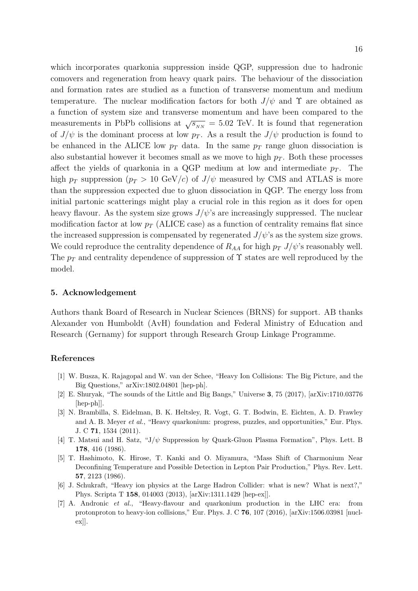which incorporates quarkonia suppression inside QGP, suppression due to hadronic comovers and regeneration from heavy quark pairs. The behaviour of the dissociation and formation rates are studied as a function of transverse momentum and medium temperature. The nuclear modification factors for both  $J/\psi$  and  $\Upsilon$  are obtained as a function of system size and transverse momentum and have been compared to the measurements in PbPb collisions at  $\sqrt{s_{NN}} = 5.02$  TeV. It is found that regeneration of  $J/\psi$  is the dominant process at low  $p_T$ . As a result the  $J/\psi$  production is found to be enhanced in the ALICE low  $p_T$  data. In the same  $p_T$  range gluon dissociation is also substantial however it becomes small as we move to high  $p<sub>T</sub>$ . Both these processes affect the yields of quarkonia in a QGP medium at low and intermediate  $p<sub>T</sub>$ . The high  $p_T$  suppression  $(p_T > 10 \text{ GeV}/c)$  of  $J/\psi$  measured by CMS and ATLAS is more than the suppression expected due to gluon dissociation in QGP. The energy loss from initial partonic scatterings might play a crucial role in this region as it does for open heavy flavour. As the system size grows  $J/\psi$ 's are increasingly suppressed. The nuclear modification factor at low  $p_T$  (ALICE case) as a function of centrality remains flat since the increased suppression is compensated by regenerated  $J/\psi$ 's as the system size grows. We could reproduce the centrality dependence of  $R_{AA}$  for high  $p_T J/\psi$ 's reasonably well. The  $p_T$  and centrality dependence of suppression of  $\Upsilon$  states are well reproduced by the model.

### 5. Acknowledgement

Authors thank Board of Research in Nuclear Sciences (BRNS) for support. AB thanks Alexander von Humboldt (AvH) foundation and Federal Ministry of Education and Research (Gernamy) for support through Research Group Linkage Programme.

### References

- [1] W. Busza, K. Rajagopal and W. van der Schee, "Heavy Ion Collisions: The Big Picture, and the Big Questions," arXiv:1802.04801 [hep-ph].
- [2] E. Shuryak, "The sounds of the Little and Big Bangs," Universe 3, 75 (2017), [arXiv:1710.03776 [hep-ph]].
- [3] N. Brambilla, S. Eidelman, B. K. Heltsley, R. Vogt, G. T. Bodwin, E. Eichten, A. D. Frawley and A. B. Meyer et al., "Heavy quarkonium: progress, puzzles, and opportunities," Eur. Phys. J. C 71, 1534 (2011).
- [4] T. Matsui and H. Satz, "J/ψ Suppression by Quark-Gluon Plasma Formation", Phys. Lett. B 178, 416 (1986).
- [5] T. Hashimoto, K. Hirose, T. Kanki and O. Miyamura, "Mass Shift of Charmonium Near Deconfining Temperature and Possible Detection in Lepton Pair Production," Phys. Rev. Lett. 57, 2123 (1986).
- [6] J. Schukraft, "Heavy ion physics at the Large Hadron Collider: what is new? What is next?," Phys. Scripta T 158, 014003 (2013), [arXiv:1311.1429 [hep-ex]].
- [7] A. Andronic et al., "Heavy-flavour and quarkonium production in the LHC era: from protonproton to heavy-ion collisions," Eur. Phys. J. C  $76$ ,  $107$  ( $2016$ ),  $arXiv:1506.03981$  [nuclex]].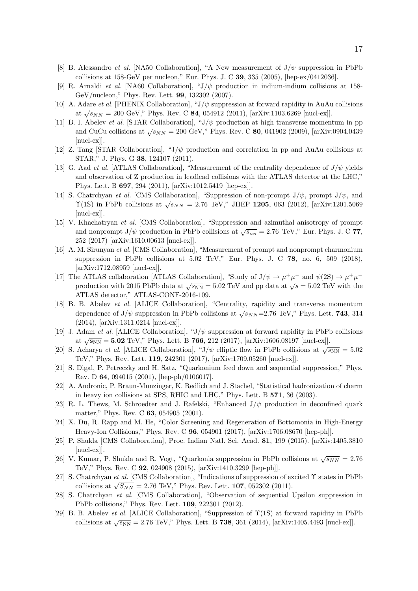- [8] B. Alessandro et al. [NA50 Collaboration], "A New measurement of  $J/\psi$  suppression in PbPb collisions at 158-GeV per nucleon," Eur. Phys. J. C 39, 335 (2005), [hep-ex/0412036].
- [9] R. Arnaldi *et al.* [NA60 Collaboration], " $J/\psi$  production in indium-indium collisions at 158-GeV/nucleon," Phys. Rev. Lett. 99, 132302 (2007).
- [10] A. Adare *et al.* [PHENIX Collaboration], " $J/\psi$  suppression at forward rapidity in AuAu collisions at  $\sqrt{s_{NN}} = 200 \text{ GeV}$ ," Phys. Rev. C 84, 054912 (2011), [arXiv:1103.6269 [nucl-ex]].
- [11] B. I. Abelev *et al.* [STAR Collaboration], " $J/\psi$  production at high transverse momentum in pp and CuCu collisions at  $\sqrt{s_{NN}} = 200$  GeV," Phys. Rev. C 80, 041902 (2009), [arXiv:0904.0439 [nucl-ex]].
- [12] Z. Tang [STAR Collaboration], " $J/\psi$  production and correlation in pp and AuAu collisions at STAR," J. Phys. G 38, 124107 (2011).
- [13] G. Aad *et al.* [ATLAS Collaboration], "Measurement of the centrality dependence of  $J/\psi$  yields and observation of Z production in leadlead collisions with the ATLAS detector at the LHC," Phys. Lett. B 697, 294 (2011), [arXiv:1012.5419 [hep-ex]].
- [14] S. Chatrchyan et al. [CMS Collaboration], "Suppression of non-prompt  $J/\psi$ , prompt  $J/\psi$ , and  $\Upsilon(1S)$  in PbPb collisions at  $\sqrt{s_{NN}} = 2.76$  TeV," JHEP 1205, 063 (2012), [arXiv:1201.5069 [nucl-ex]].
- [15] V. Khachatryan et al. [CMS Collaboration], "Suppression and azimuthal anisotropy of prompt and nonprompt J/ $\psi$  production in PbPb collisions at  $\sqrt{s_{NN}} = 2.76$  TeV," Eur. Phys. J. C 77, 252 (2017) [arXiv:1610.00613 [nucl-ex]].
- [16] A. M. Sirunyan et al. [CMS Collaboration], "Measurement of prompt and nonprompt charmonium suppression in PbPb collisions at  $5.02$  TeV," Eur. Phys. J. C 78, no. 6, 509 (2018). [arXiv:1712.08959 [nucl-ex]].
- [17] The ATLAS collaboration [ATLAS Collaboration], "Study of  $J/\psi \to \mu^+\mu^-$  and  $\psi(2S) \to \mu^+\mu^$ production with 2015 PbPb data at  $\sqrt{s_{NN}} = 5.02$  TeV and pp data at  $\sqrt{s} = 5.02$  TeV with the ATLAS detector," ATLAS-CONF-2016-109.
- [18] B. B. Abelev et al. [ALICE Collaboration], "Centrality, rapidity and transverse momentum dependence of J/ $\psi$  suppression in PbPb collisions at  $\sqrt{s_{NN}}$ =2.76 TeV," Phys. Lett. **743**, 314 (2014), [arXiv:1311.0214 [nucl-ex]].
- [19] J. Adam et al. [ALICE Collaboration], " $J/\psi$  suppression at forward rapidity in PbPb collisions at  $\sqrt{s_{NN}} = 5.02$  TeV," Phys. Lett. B 766, 212 (2017), [arXiv:1606.08197 [nucl-ex]].
- [20] S. Acharya et al. [ALICE Collaboration], " $J/\psi$  elliptic flow in PbPb collisions at  $\sqrt{s_{NN}} = 5.02$ TeV," Phys. Rev. Lett. 119, 242301 (2017), [arXiv:1709.05260 [nucl-ex]].
- [21] S. Digal, P. Petreczky and H. Satz, "Quarkonium feed down and sequential suppression," Phys. Rev. D 64, 094015 (2001), [hep-ph/0106017].
- [22] A. Andronic, P. Braun-Munzinger, K. Redlich and J. Stachel, "Statistical hadronization of charm in heavy ion collisions at SPS, RHIC and LHC," Phys. Lett. B 571, 36 (2003).
- [23] R. L. Thews, M. Schroedter and J. Rafelski, "Enhanced  $J/\psi$  production in deconfined quark matter," Phys. Rev. C 63, 054905 (2001).
- [24] X. Du, R. Rapp and M. He, "Color Screening and Regeneration of Bottomonia in High-Energy Heavy-Ion Collisions," Phys. Rev. C 96, 054901 (2017), [arXiv:1706.08670 [hep-ph]].
- [25] P. Shukla [CMS Collaboration], Proc. Indian Natl. Sci. Acad. 81, 199 (2015). [arXiv:1405.3810 [nucl-ex]].
- [26] V. Kumar, P. Shukla and R. Vogt, "Quarkonia suppression in PbPb collisions at  $\sqrt{s_{NN}} = 2.76$ TeV," Phys. Rev. C 92, 024908 (2015), [arXiv:1410.3299 [hep-ph]].
- [27] S. Chatrchyan et al. [CMS Collaboration], "Indications of suppression of excited Υ states in PbPb collisions at  $\sqrt{S_{NN}} = 2.76$  TeV," Phys. Rev. Lett. **107**, 052302 (2011).
- [28] S. Chatrchyan et al. [CMS Collaboration], "Observation of sequential Upsilon suppression in PbPb collisions," Phys. Rev. Lett. 109, 222301 (2012).
- [29] B. B. Abelev et al. [ALICE Collaboration], "Suppression of Υ(1S) at forward rapidity in PbPb collisions at  $\sqrt{s_{NN}} = 2.76 \text{ TeV}$ ," Phys. Lett. B **738**, 361 (2014), [arXiv:1405.4493 [nucl-ex]].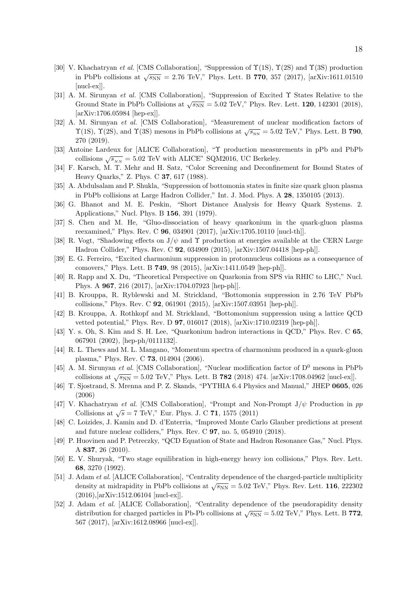- [30] V. Khachatryan et al. [CMS Collaboration], "Suppression of  $\Upsilon(1S)$ ,  $\Upsilon(2S)$  and  $\Upsilon(3S)$  production in PbPb collisions at  $\sqrt{s_{NN}} = 2.76$  TeV," Phys. Lett. B 770, 357 (2017), [arXiv:1611.01510 [nucl-ex]].
- [31] A. M. Sirunyan et al. [CMS Collaboration], "Suppression of Excited Υ States Relative to the Ground State in PbPb Collisions at  $\sqrt{s_{NN}} = 5.02$  TeV," Phys. Rev. Lett. 120, 142301 (2018), [arXiv:1706.05984 [hep-ex]].
- [32] A. M. Sirunyan et al. [CMS Collaboration], "Measurement of nuclear modification factors of  $\Upsilon(1S)$ ,  $\Upsilon(2S)$ , and  $\Upsilon(3S)$  mesons in PbPb collisions at  $\sqrt{s_{NN}} = 5.02$  TeV," Phys. Lett. B 790, 270 (2019).
- [33] Antoine Lardeux for [ALICE Collaboration], "Υ production measurements in pPb and PbPb collisions  $\sqrt{s_{NN}} = 5.02$  TeV with ALICE" SQM2016, UC Berkeley.
- [34] F. Karsch, M. T. Mehr and H. Satz, "Color Screening and Deconfinement for Bound States of Heavy Quarks," Z. Phys. C 37, 617 (1988).
- [35] A. Abdulsalam and P. Shukla, "Suppression of bottomonia states in finite size quark gluon plasma in PbPb collisions at Large Hadron Collider," Int. J. Mod. Phys. A 28, 1350105 (2013).
- [36] G. Bhanot and M. E. Peskin, "Short Distance Analysis for Heavy Quark Systems. 2. Applications," Nucl. Phys. B 156, 391 (1979).
- [37] S. Chen and M. He, "Gluo-dissociation of heavy quarkonium in the quark-gluon plasma reexamined," Phys. Rev. C 96, 034901 (2017), [arXiv:1705.10110 [nucl-th]].
- [38] R. Vogt, "Shadowing effects on  $J/\psi$  and  $\Upsilon$  production at energies available at the CERN Large Hadron Collider," Phys. Rev. C 92, 034909 (2015), [arXiv:1507.04418 [hep-ph]].
- [39] E. G. Ferreiro, "Excited charmonium suppression in protonnucleus collisions as a consequence of comovers," Phys. Lett. B 749, 98 (2015), [arXiv:1411.0549 [hep-ph]].
- [40] R. Rapp and X. Du, "Theoretical Perspective on Quarkonia from SPS via RHIC to LHC," Nucl. Phys. A 967, 216 (2017), [arXiv:1704.07923 [hep-ph]].
- [41] B. Krouppa, R. Ryblewski and M. Strickland, "Bottomonia suppression in 2.76 TeV PbPb collisions," Phys. Rev. C 92, 061901 (2015), [arXiv:1507.03951 [hep-ph]].
- [42] B. Krouppa, A. Rothkopf and M. Strickland, "Bottomonium suppression using a lattice QCD vetted potential," Phys. Rev. D 97, 016017 (2018), [arXiv:1710.02319 [hep-ph]].
- [43] Y. s. Oh, S. Kim and S. H. Lee, "Quarkonium hadron interactions in QCD," Phys. Rev. C 65, 067901 (2002), [hep-ph/0111132].
- [44] R. L. Thews and M. L. Mangano, "Momentum spectra of charmonium produced in a quark-gluon plasma," Phys. Rev. C 73, 014904 (2006).
- [45] A. M. Sirunyan *et al.* [CMS Collaboration], "Nuclear modification factor of  $D^0$  mesons in PbPb collisions at  $\sqrt{s_{NN}} = 5.02$  TeV," Phys. Lett. B 782 (2018) 474. [arXiv:1708.04962 [nucl-ex]].
- [46] T. Sjostrand, S. Mrenna and P. Z. Skands, "PYTHIA 6.4 Physics and Manual," JHEP 0605, 026 (2006)
- [47] V. Khachatryan et al. [CMS Collaboration], "Prompt and Non-Prompt  $J/\psi$  Production in pp Collisions at  $\sqrt{s} = 7$  TeV," Eur. Phys. J. C 71, 1575 (2011)
- [48] C. Loizides, J. Kamin and D. d'Enterria, "Improved Monte Carlo Glauber predictions at present and future nuclear colliders," Phys. Rev. C 97, no. 5, 054910 (2018).
- [49] P. Huovinen and P. Petreczky, "QCD Equation of State and Hadron Resonance Gas," Nucl. Phys. A 837, 26 (2010).
- [50] E. V. Shuryak, "Two stage equilibration in high-energy heavy ion collisions," Phys. Rev. Lett. 68, 3270 (1992).
- [51] J. Adam et al. [ALICE Collaboration], "Centrality dependence of the charged-particle multiplicity density at midrapidity in PbPb collisions at  $\sqrt{s_{NN}} = 5.02$  TeV," Phys. Rev. Lett. 116, 222302 (2016),[arXiv:1512.06104 [nucl-ex]].
- [52] J. Adam et al. [ALICE Collaboration], "Centrality dependence of the pseudorapidity density distribution for charged particles in Pb-Pb collisions at  $\sqrt{s_{NN}} = 5.02$  TeV," Phys. Lett. B 772, 567 (2017), [arXiv:1612.08966 [nucl-ex]].